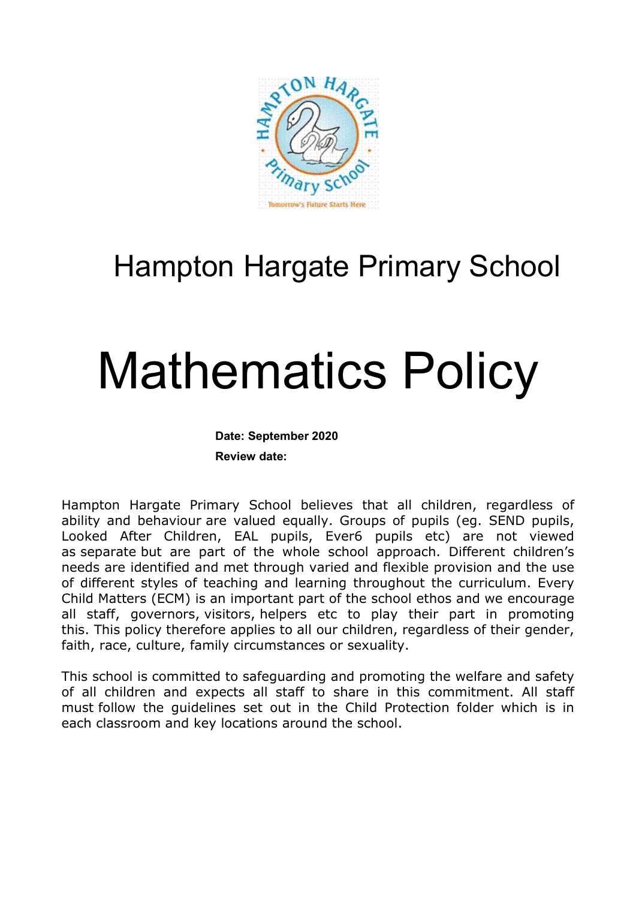

# Hampton Hargate Primary School

# Mathematics Policy

#### Date: September 2020

Review date:

Hampton Hargate Primary School believes that all children, regardless of ability and behaviour are valued equally. Groups of pupils (eg. SEND pupils, Looked After Children, EAL pupils, Ever6 pupils etc) are not viewed as separate but are part of the whole school approach. Different children's needs are identified and met through varied and flexible provision and the use of different styles of teaching and learning throughout the curriculum. Every Child Matters (ECM) is an important part of the school ethos and we encourage all staff, governors, visitors, helpers etc to play their part in promoting this. This policy therefore applies to all our children, regardless of their gender, faith, race, culture, family circumstances or sexuality.

This school is committed to safeguarding and promoting the welfare and safety of all children and expects all staff to share in this commitment. All staff must follow the guidelines set out in the Child Protection folder which is in each classroom and key locations around the school.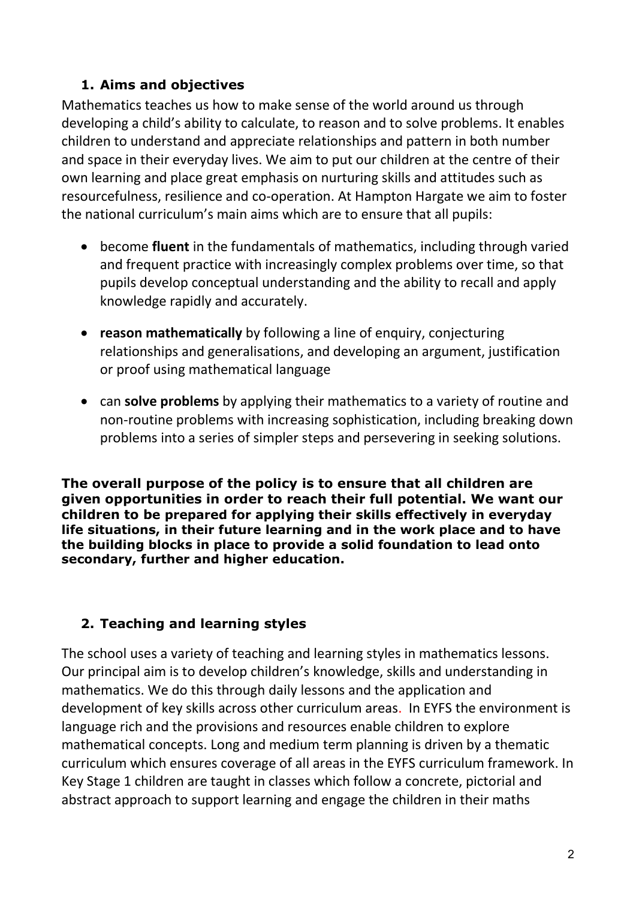# 1. Aims and objectives

Mathematics teaches us how to make sense of the world around us through developing a child's ability to calculate, to reason and to solve problems. It enables children to understand and appreciate relationships and pattern in both number and space in their everyday lives. We aim to put our children at the centre of their own learning and place great emphasis on nurturing skills and attitudes such as resourcefulness, resilience and co-operation. At Hampton Hargate we aim to foster the national curriculum's main aims which are to ensure that all pupils:

- become fluent in the fundamentals of mathematics, including through varied and frequent practice with increasingly complex problems over time, so that pupils develop conceptual understanding and the ability to recall and apply knowledge rapidly and accurately.
- reason mathematically by following a line of enquiry, conjecturing relationships and generalisations, and developing an argument, justification or proof using mathematical language
- can solve problems by applying their mathematics to a variety of routine and non-routine problems with increasing sophistication, including breaking down problems into a series of simpler steps and persevering in seeking solutions.

The overall purpose of the policy is to ensure that all children are given opportunities in order to reach their full potential. We want our children to be prepared for applying their skills effectively in everyday life situations, in their future learning and in the work place and to have the building blocks in place to provide a solid foundation to lead onto secondary, further and higher education.

# 2. Teaching and learning styles

The school uses a variety of teaching and learning styles in mathematics lessons. Our principal aim is to develop children's knowledge, skills and understanding in mathematics. We do this through daily lessons and the application and development of key skills across other curriculum areas. In EYFS the environment is language rich and the provisions and resources enable children to explore mathematical concepts. Long and medium term planning is driven by a thematic curriculum which ensures coverage of all areas in the EYFS curriculum framework. In Key Stage 1 children are taught in classes which follow a concrete, pictorial and abstract approach to support learning and engage the children in their maths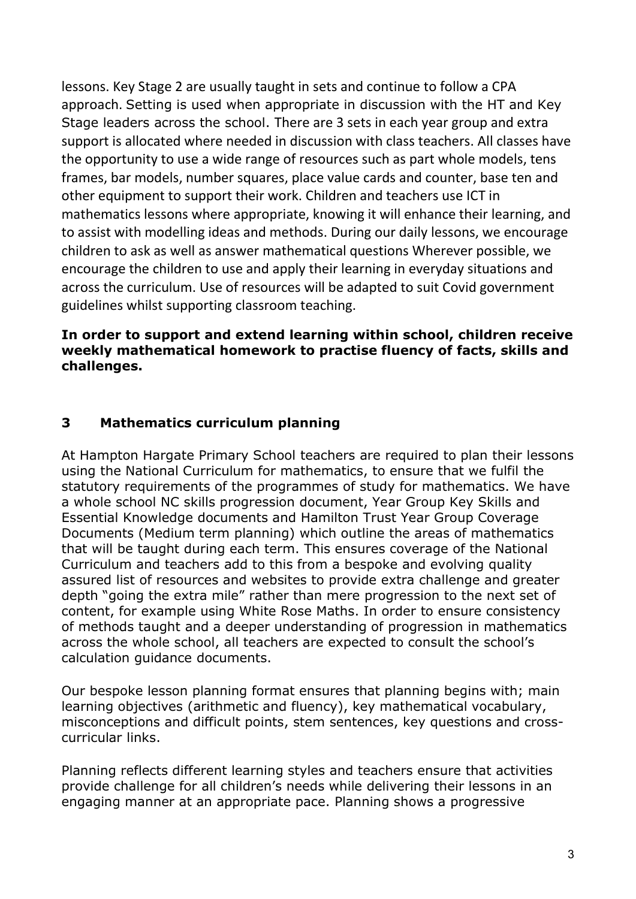lessons. Key Stage 2 are usually taught in sets and continue to follow a CPA approach. Setting is used when appropriate in discussion with the HT and Key Stage leaders across the school. There are 3 sets in each year group and extra support is allocated where needed in discussion with class teachers. All classes have the opportunity to use a wide range of resources such as part whole models, tens frames, bar models, number squares, place value cards and counter, base ten and other equipment to support their work. Children and teachers use ICT in mathematics lessons where appropriate, knowing it will enhance their learning, and to assist with modelling ideas and methods. During our daily lessons, we encourage children to ask as well as answer mathematical questions Wherever possible, we encourage the children to use and apply their learning in everyday situations and across the curriculum. Use of resources will be adapted to suit Covid government guidelines whilst supporting classroom teaching.

#### In order to support and extend learning within school, children receive weekly mathematical homework to practise fluency of facts, skills and challenges.

# 3 Mathematics curriculum planning

At Hampton Hargate Primary School teachers are required to plan their lessons using the National Curriculum for mathematics, to ensure that we fulfil the statutory requirements of the programmes of study for mathematics. We have a whole school NC skills progression document, Year Group Key Skills and Essential Knowledge documents and Hamilton Trust Year Group Coverage Documents (Medium term planning) which outline the areas of mathematics that will be taught during each term. This ensures coverage of the National Curriculum and teachers add to this from a bespoke and evolving quality assured list of resources and websites to provide extra challenge and greater depth "going the extra mile" rather than mere progression to the next set of content, for example using White Rose Maths. In order to ensure consistency of methods taught and a deeper understanding of progression in mathematics across the whole school, all teachers are expected to consult the school's calculation guidance documents.

Our bespoke lesson planning format ensures that planning begins with; main learning objectives (arithmetic and fluency), key mathematical vocabulary, misconceptions and difficult points, stem sentences, key questions and crosscurricular links.

Planning reflects different learning styles and teachers ensure that activities provide challenge for all children's needs while delivering their lessons in an engaging manner at an appropriate pace. Planning shows a progressive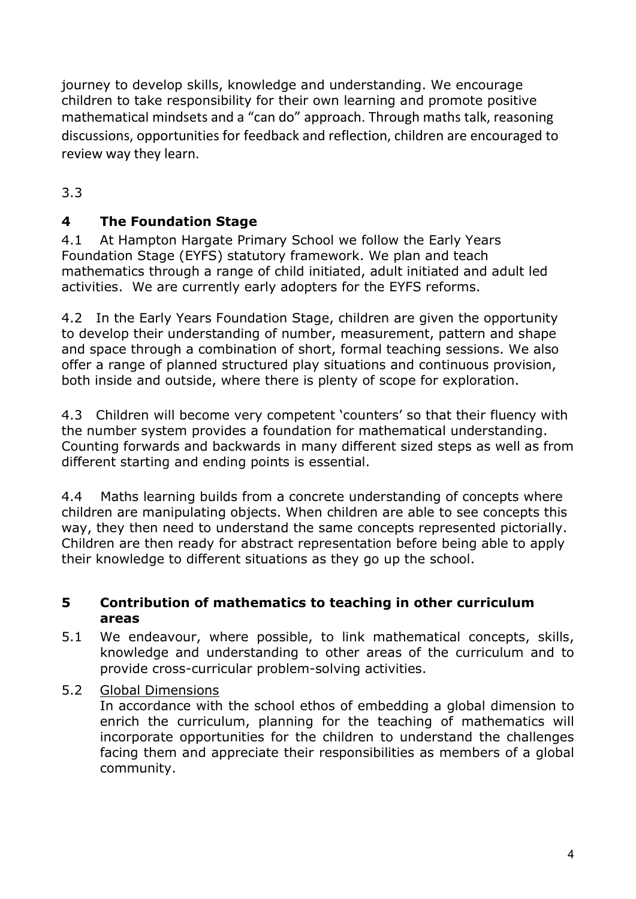journey to develop skills, knowledge and understanding. We encourage children to take responsibility for their own learning and promote positive mathematical mindsets and a "can do" approach. Through maths talk, reasoning discussions, opportunities for feedback and reflection, children are encouraged to review way they learn.

3.3

# 4 The Foundation Stage

4.1 At Hampton Hargate Primary School we follow the Early Years Foundation Stage (EYFS) statutory framework. We plan and teach mathematics through a range of child initiated, adult initiated and adult led activities. We are currently early adopters for the EYFS reforms.

4.2 In the Early Years Foundation Stage, children are given the opportunity to develop their understanding of number, measurement, pattern and shape and space through a combination of short, formal teaching sessions. We also offer a range of planned structured play situations and continuous provision, both inside and outside, where there is plenty of scope for exploration.

4.3 Children will become very competent 'counters' so that their fluency with the number system provides a foundation for mathematical understanding. Counting forwards and backwards in many different sized steps as well as from different starting and ending points is essential.

4.4 Maths learning builds from a concrete understanding of concepts where children are manipulating objects. When children are able to see concepts this way, they then need to understand the same concepts represented pictorially. Children are then ready for abstract representation before being able to apply their knowledge to different situations as they go up the school.

## 5 Contribution of mathematics to teaching in other curriculum areas

- 5.1 We endeavour, where possible, to link mathematical concepts, skills, knowledge and understanding to other areas of the curriculum and to provide cross-curricular problem-solving activities.
- 5.2 Global Dimensions

In accordance with the school ethos of embedding a global dimension to enrich the curriculum, planning for the teaching of mathematics will incorporate opportunities for the children to understand the challenges facing them and appreciate their responsibilities as members of a global community.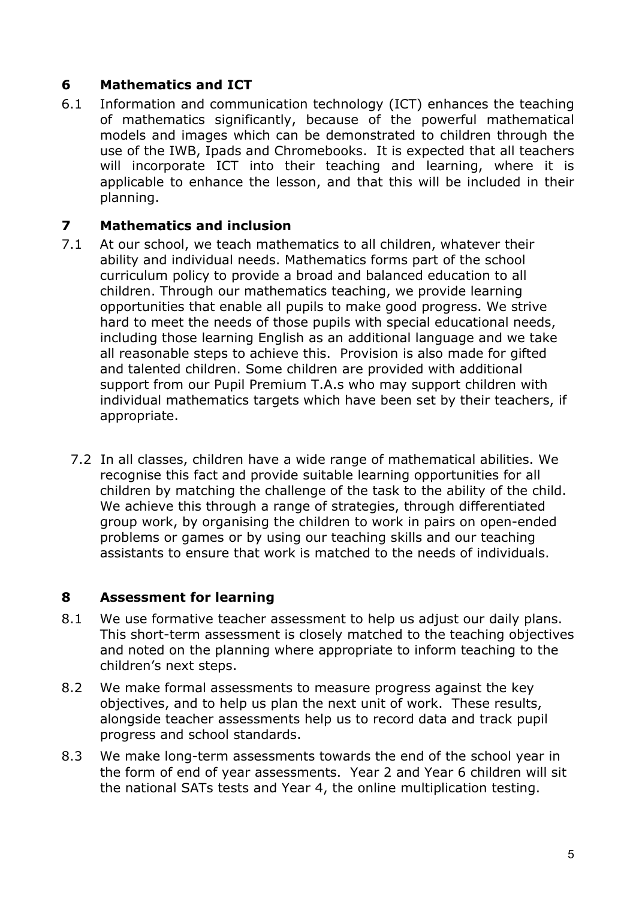# 6 Mathematics and ICT

6.1 Information and communication technology (ICT) enhances the teaching of mathematics significantly, because of the powerful mathematical models and images which can be demonstrated to children through the use of the IWB, Ipads and Chromebooks. It is expected that all teachers will incorporate ICT into their teaching and learning, where it is applicable to enhance the lesson, and that this will be included in their planning.

#### 7 Mathematics and inclusion

- 7.1 At our school, we teach mathematics to all children, whatever their ability and individual needs. Mathematics forms part of the school curriculum policy to provide a broad and balanced education to all children. Through our mathematics teaching, we provide learning opportunities that enable all pupils to make good progress. We strive hard to meet the needs of those pupils with special educational needs, including those learning English as an additional language and we take all reasonable steps to achieve this. Provision is also made for gifted and talented children. Some children are provided with additional support from our Pupil Premium T.A.s who may support children with individual mathematics targets which have been set by their teachers, if appropriate.
	- 7.2 In all classes, children have a wide range of mathematical abilities. We recognise this fact and provide suitable learning opportunities for all children by matching the challenge of the task to the ability of the child. We achieve this through a range of strategies, through differentiated group work, by organising the children to work in pairs on open-ended problems or games or by using our teaching skills and our teaching assistants to ensure that work is matched to the needs of individuals.

## 8 Assessment for learning

- 8.1 We use formative teacher assessment to help us adjust our daily plans. This short-term assessment is closely matched to the teaching objectives and noted on the planning where appropriate to inform teaching to the children's next steps.
- 8.2 We make formal assessments to measure progress against the key objectives, and to help us plan the next unit of work. These results, alongside teacher assessments help us to record data and track pupil progress and school standards.
- 8.3 We make long-term assessments towards the end of the school year in the form of end of year assessments. Year 2 and Year 6 children will sit the national SATs tests and Year 4, the online multiplication testing.